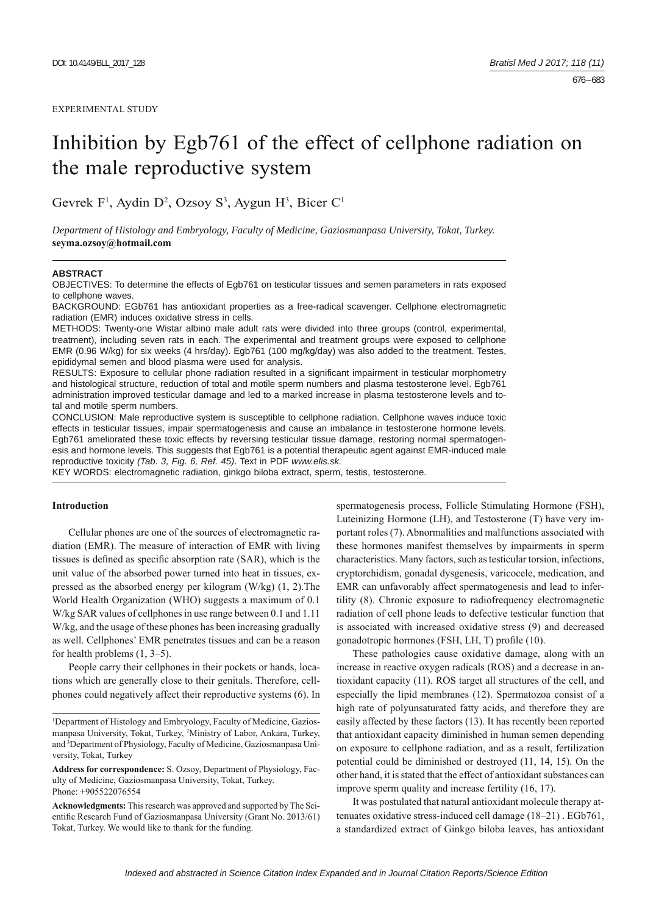# Inhibition by Egb761 of the effect of cellphone radiation on the male reproductive system

Gevrek  $F^1$ , Aydin D<sup>2</sup>, Ozsoy S<sup>3</sup>, Aygun H<sup>3</sup>, Bicer C<sup>1</sup>

*Department of Histology and Embryology, Faculty of Medicine, Gaziosmanpasa University, Tokat, Turkey.*  **seyma.ozsoy@hotmail.com**

#### **ABSTRACT**

OBJECTIVES: To determine the effects of Egb761 on testicular tissues and semen parameters in rats exposed to cellphone waves.

BACKGROUND: EGb761 has antioxidant properties as a free-radical scavenger. Cellphone electromagnetic radiation (EMR) induces oxidative stress in cells.

METHODS: Twenty-one Wistar albino male adult rats were divided into three groups (control, experimental, treatment), including seven rats in each. The experimental and treatment groups were exposed to cellphone EMR (0.96 W/kg) for six weeks (4 hrs/day). Egb761 (100 mg/kg/day) was also added to the treatment. Testes, epididymal semen and blood plasma were used for analysis.

RESULTS: Exposure to cellular phone radiation resulted in a significant impairment in testicular morphometry and histological structure, reduction of total and motile sperm numbers and plasma testosterone level. Egb761 administration improved testicular damage and led to a marked increase in plasma testosterone levels and total and motile sperm numbers.

CONCLUSION: Male reproductive system is susceptible to cellphone radiation. Cellphone waves induce toxic effects in testicular tissues, impair spermatogenesis and cause an imbalance in testosterone hormone levels. Egb761 ameliorated these toxic effects by reversing testicular tissue damage, restoring normal spermatogenesis and hormone levels. This suggests that Egb761 is a potential therapeutic agent against EMR-induced male reproductive toxicity *(Tab. 3, Fig. 6, Ref. 45)*. Text in PDF *www.elis.sk.*

KEY WORDS: electromagnetic radiation, ginkgo biloba extract, sperm, testis, testosterone.

# **Introduction**

Cellular phones are one of the sources of electromagnetic radiation (EMR). The measure of interaction of EMR with living tissues is defined as specific absorption rate (SAR), which is the unit value of the absorbed power turned into heat in tissues, expressed as the absorbed energy per kilogram (W/kg) (1, 2).The World Health Organization (WHO) suggests a maximum of 0.1 W/kg SAR values of cellphones in use range between 0.1 and 1.11 W/kg, and the usage of these phones has been increasing gradually as well. Cellphones' EMR penetrates tissues and can be a reason for health problems (1, 3–5).

People carry their cellphones in their pockets or hands, locations which are generally close to their genitals. Therefore, cellphones could negatively affect their reproductive systems (6). In spermatogenesis process, Follicle Stimulating Hormone (FSH), Luteinizing Hormone (LH), and Testosterone (T) have very important roles (7). Abnormalities and malfunctions associated with these hormones manifest themselves by impairments in sperm characteristics. Many factors, such as testicular torsion, infections, cryptorchidism, gonadal dysgenesis, varicocele, medication, and EMR can unfavorably affect spermatogenesis and lead to infertility (8). Chronic exposure to radiofrequency electromagnetic radiation of cell phone leads to defective testicular function that is associated with increased oxidative stress (9) and decreased gonadotropic hormones (FSH, LH, T) profile (10).

These pathologies cause oxidative damage, along with an increase in reactive oxygen radicals (ROS) and a decrease in antioxidant capacity (11). ROS target all structures of the cell, and especially the lipid membranes (12). Spermatozoa consist of a high rate of polyunsaturated fatty acids, and therefore they are easily affected by these factors (13). It has recently been reported that antioxidant capacity diminished in human semen depending on exposure to cellphone radiation, and as a result, fertilization potential could be diminished or destroyed (11, 14, 15). On the other hand, it is stated that the effect of antioxidant substances can improve sperm quality and increase fertility (16, 17).

It was postulated that natural antioxidant molecule therapy attenuates oxidative stress-induced cell damage (18–21) . EGb761, a standardized extract of Ginkgo biloba leaves, has antioxidant

<sup>&</sup>lt;sup>1</sup>Department of Histology and Embryology, Faculty of Medicine, Gaziosmanpasa University, Tokat, Turkey, 2 Ministry of Labor, Ankara, Turkey, and 3 Department of Physiology, Faculty of Medicine, Gaziosmanpasa University, Tokat, Turkey

**Address for correspondence:** S. Ozsoy, Department of Physiology, Faculty of Medicine, Gaziosmanpasa University, Tokat, Turkey. Phone: +905522076554

**Acknowledgments:** This research was approved and supported by The Scientific Research Fund of Gaziosmanpasa University (Grant No. 2013/61) Tokat, Turkey. We would like to thank for the funding.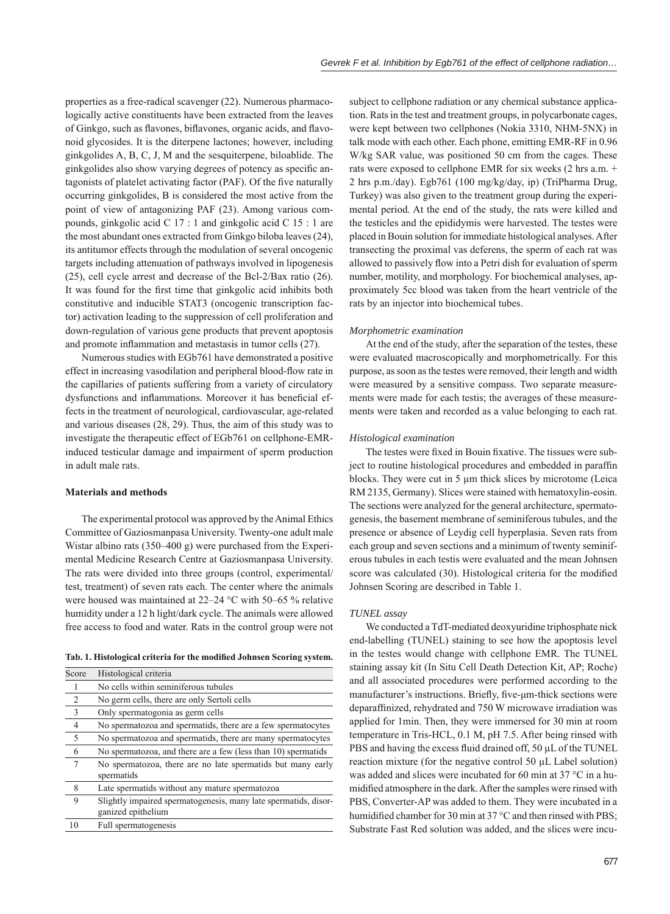properties as a free-radical scavenger (22). Numerous pharmacologically active constituents have been extracted from the leaves of Ginkgo, such as flavones, biflavones, organic acids, and flavonoid glycosides. It is the diterpene lactones; however, including ginkgolides A, B, C, J, M and the sesquiterpene, biloablide. The ginkgolides also show varying degrees of potency as specific antagonists of platelet activating factor (PAF). Of the five naturally occurring ginkgolides, B is considered the most active from the point of view of antagonizing PAF (23). Among various compounds, ginkgolic acid C 17 : 1 and ginkgolic acid C 15 : 1 are the most abundant ones extracted from Ginkgo biloba leaves (24), its antitumor effects through the modulation of several oncogenic targets including attenuation of pathways involved in lipogenesis (25), cell cycle arrest and decrease of the Bcl-2/Bax ratio (26). It was found for the first time that ginkgolic acid inhibits both constitutive and inducible STAT3 (oncogenic transcription factor) activation leading to the suppression of cell proliferation and down-regulation of various gene products that prevent apoptosis and promote inflammation and metastasis in tumor cells (27).

Numerous studies with EGb761 have demonstrated a positive effect in increasing vasodilation and peripheral blood-flow rate in the capillaries of patients suffering from a variety of circulatory dysfunctions and inflammations. Moreover it has beneficial effects in the treatment of neurological, cardiovascular, age-related and various diseases (28, 29). Thus, the aim of this study was to investigate the therapeutic effect of EGb761 on cellphone-EMRinduced testicular damage and impairment of sperm production in adult male rats.

# **Materials and methods**

The experimental protocol was approved by the Animal Ethics Committee of Gaziosmanpasa University. Twenty-one adult male Wistar albino rats (350–400 g) were purchased from the Experimental Medicine Research Centre at Gaziosmanpasa University. The rats were divided into three groups (control, experimental/ test, treatment) of seven rats each. The center where the animals were housed was maintained at 22–24 °C with 50–65 % relative humidity under a 12 h light/dark cycle. The animals were allowed free access to food and water. Rats in the control group were not

| Tab. 1. Histological criteria for the modified Johnsen Scoring system. |  |  |  |  |  |  |  |  |  |  |  |  |  |  |
|------------------------------------------------------------------------|--|--|--|--|--|--|--|--|--|--|--|--|--|--|
|------------------------------------------------------------------------|--|--|--|--|--|--|--|--|--|--|--|--|--|--|

| Score          | Histological criteria                                                                 |
|----------------|---------------------------------------------------------------------------------------|
|                | No cells within seminiferous tubules                                                  |
| 2              | No germ cells, there are only Sertoli cells                                           |
| 3              | Only spermatogonia as germ cells                                                      |
| $\overline{4}$ | No spermatozoa and spermatids, there are a few spermatocytes                          |
| 5              | No spermatozoa and spermatids, there are many spermatocytes                           |
| 6              | No spermatozoa, and there are a few (less than 10) spermatids                         |
| 7              | No spermatozoa, there are no late spermatids but many early<br>spermatids             |
| 8              | Late spermatids without any mature spermatozoa                                        |
| 9              | Slightly impaired spermatogenesis, many late spermatids, disor-<br>ganized epithelium |
| 10             | Full spermatogenesis                                                                  |

subject to cellphone radiation or any chemical substance application. Rats in the test and treatment groups, in polycarbonate cages, were kept between two cellphones (Nokia 3310, NHM-5NX) in talk mode with each other. Each phone, emitting EMR-RF in 0.96 W/kg SAR value, was positioned 50 cm from the cages. These rats were exposed to cellphone EMR for six weeks (2 hrs a.m. + 2 hrs p.m./day). Egb761 (100 mg/kg/day, ip) (TriPharma Drug, Turkey) was also given to the treatment group during the experimental period. At the end of the study, the rats were killed and the testicles and the epididymis were harvested. The testes were placed in Bouin solution for immediate histological analyses. After transecting the proximal vas deferens, the sperm of each rat was allowed to passively flow into a Petri dish for evaluation of sperm number, motility, and morphology. For biochemical analyses, approximately 5cc blood was taken from the heart ventricle of the rats by an injector into biochemical tubes.

#### *Morphometric examination*

At the end of the study, after the separation of the testes, these were evaluated macroscopically and morphometrically. For this purpose, as soon as the testes were removed, their length and width were measured by a sensitive compass. Two separate measurements were made for each testis; the averages of these measurements were taken and recorded as a value belonging to each rat.

## *Histological examination*

The testes were fixed in Bouin fixative. The tissues were subject to routine histological procedures and embedded in paraffin blocks. They were cut in 5 μm thick slices by microtome (Leica RM 2135, Germany). Slices were stained with hematoxylin-eosin. The sections were analyzed for the general architecture, spermatogenesis, the basement membrane of seminiferous tubules, and the presence or absence of Leydig cell hyperplasia. Seven rats from each group and seven sections and a minimum of twenty seminiferous tubules in each testis were evaluated and the mean Johnsen score was calculated (30). Histological criteria for the modified Johnsen Scoring are described in Table 1.

## *TUNEL assay*

We conducted a TdT-mediated deoxyuridine triphosphate nick end-labelling (TUNEL) staining to see how the apoptosis level in the testes would change with cellphone EMR. The TUNEL staining assay kit (In Situ Cell Death Detection Kit, AP; Roche) and all associated procedures were performed according to the manufacturer's instructions. Briefly, five-μm-thick sections were deparaffinized, rehydrated and 750 W microwave irradiation was applied for 1min. Then, they were immersed for 30 min at room temperature in Tris-HCL, 0.1 M, pH 7.5. After being rinsed with PBS and having the excess fluid drained off, 50 μL of the TUNEL reaction mixture (for the negative control 50 μL Label solution) was added and slices were incubated for 60 min at 37 °C in a humidified atmosphere in the dark. After the samples were rinsed with PBS, Converter-AP was added to them. They were incubated in a humidified chamber for 30 min at 37 °C and then rinsed with PBS; Substrate Fast Red solution was added, and the slices were incu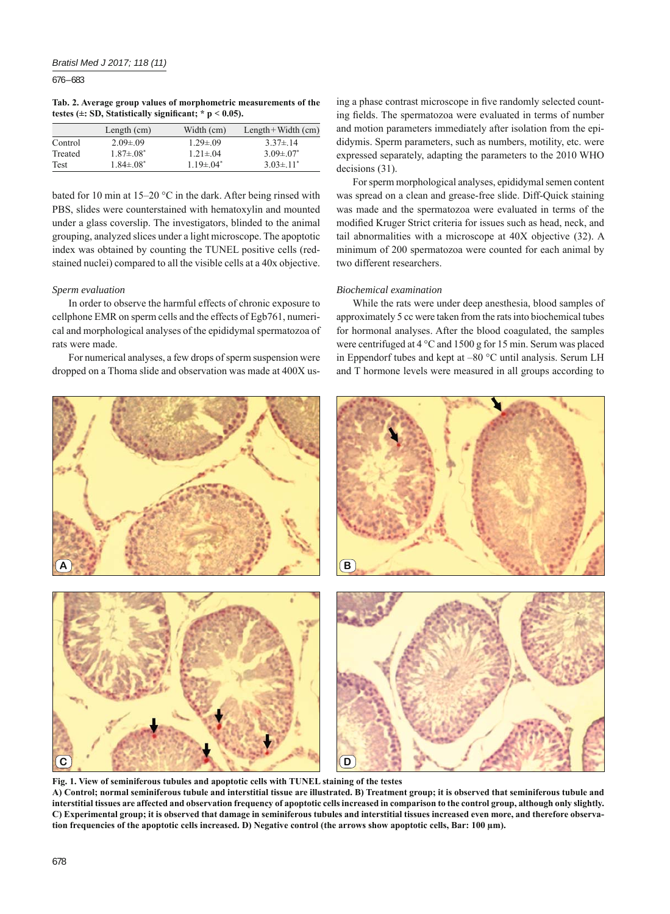676 – 683

**Tab. 2. Average group values of morphometric measurements of the testes (** $\pm$ **: SD, Statistically significant; \* p < 0.05).** 

|         | Length $(cm)$     | Width (cm)      | $Length + Width (cm)$ |
|---------|-------------------|-----------------|-----------------------|
| Control | $2.09 \pm 0.09$   | $1.29 \pm 0.09$ | $3.37 \pm 14$         |
| Treated | $1.87 \pm 0.08^*$ | $1.21 \pm 0.4$  | $3.09 \pm 0.07$       |
| Test    | $1.84 \pm 0.8^*$  | $1.19 \pm 04^*$ | $3.03 \pm 11^*$       |

bated for 10 min at 15–20 °C in the dark. After being rinsed with PBS, slides were counterstained with hematoxylin and mounted under a glass coverslip. The investigators, blinded to the animal grouping, analyzed slices under a light microscope. The apoptotic index was obtained by counting the TUNEL positive cells (redstained nuclei) compared to all the visible cells at a 40x objective.

# *Sperm evaluation*

In order to observe the harmful effects of chronic exposure to cellphone EMR on sperm cells and the effects of Egb761, numerical and morphological analyses of the epididymal spermatozoa of rats were made.

For numerical analyses, a few drops of sperm suspension were dropped on a Thoma slide and observation was made at 400X us-

ing a phase contrast microscope in five randomly selected counting fields. The spermatozoa were evaluated in terms of number and motion parameters immediately after isolation from the epididymis. Sperm parameters, such as numbers, motility, etc. were expressed separately, adapting the parameters to the 2010 WHO decisions (31).

For sperm morphological analyses, epididymal semen content was spread on a clean and grease-free slide. Diff-Quick staining was made and the spermatozoa were evaluated in terms of the modified Kruger Strict criteria for issues such as head, neck, and tail abnormalities with a microscope at 40X objective (32). A minimum of 200 spermatozoa were counted for each animal by two different researchers.

# *Biochemical examination*

While the rats were under deep anesthesia, blood samples of approximately 5 cc were taken from the rats into biochemical tubes for hormonal analyses. After the blood coagulated, the samples were centrifuged at 4 °C and 1500 g for 15 min. Serum was placed in Eppendorf tubes and kept at –80 °C until analysis. Serum LH and T hormone levels were measured in all groups according to



**Fig. 1. View of seminiferous tubules and apoptotic cells with TUNEL staining of the testes A) Control; normal seminiferous tubule and interstitial tissue are illustrated. B) Treatment group; it is observed that seminiferous tubule and interstitial tissues are affected and observation frequency of apoptotic cells increased in comparison to the control group, although only slightly. C) Experimental group; it is observed that damage in seminiferous tubules and interstitial tissues increased even more, and therefore observation frequencies of the apoptotic cells increased. D) Negative control (the arrows show apoptotic cells, Bar: 100 μm).**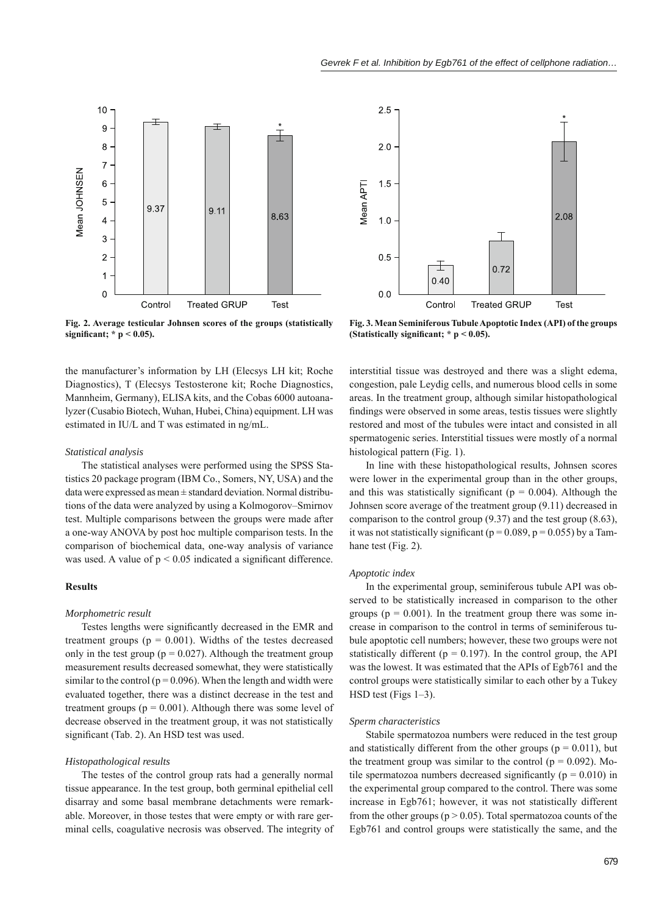



**Fig. 2. Average testicular Johnsen scores of the groups (statistically signifi cant; \* p < 0.05).**

**Fig. 3. Mean Seminiferous Tubule Apoptotic Index (API) of the groups**  (Statistically significant;  $* p < 0.05$ ).

the manufacturer's information by LH (Elecsys LH kit; Roche Diagnostics), T (Elecsys Testosterone kit; Roche Diagnostics, Mannheim, Germany), ELISA kits, and the Cobas 6000 autoanalyzer (Cusabio Biotech, Wuhan, Hubei, China) equipment. LH was estimated in IU/L and T was estimated in ng/mL.

## *Statistical analysis*

The statistical analyses were performed using the SPSS Statistics 20 package program (IBM Co., Somers, NY, USA) and the data were expressed as mean ± standard deviation. Normal distributions of the data were analyzed by using a Kolmogorov–Smirnov test. Multiple comparisons between the groups were made after a one-way ANOVA by post hoc multiple comparison tests. In the comparison of biochemical data, one-way analysis of variance was used. A value of  $p \le 0.05$  indicated a significant difference.

# **Results**

#### *Morphometric result*

Testes lengths were significantly decreased in the EMR and treatment groups ( $p = 0.001$ ). Widths of the testes decreased only in the test group ( $p = 0.027$ ). Although the treatment group measurement results decreased somewhat, they were statistically similar to the control ( $p = 0.096$ ). When the length and width were evaluated together, there was a distinct decrease in the test and treatment groups ( $p = 0.001$ ). Although there was some level of decrease observed in the treatment group, it was not statistically significant (Tab. 2). An HSD test was used.

## *Histopathological results*

The testes of the control group rats had a generally normal tissue appearance. In the test group, both germinal epithelial cell disarray and some basal membrane detachments were remarkable. Moreover, in those testes that were empty or with rare germinal cells, coagulative necrosis was observed. The integrity of

interstitial tissue was destroyed and there was a slight edema, congestion, pale Leydig cells, and numerous blood cells in some areas. In the treatment group, although similar histopathological findings were observed in some areas, testis tissues were slightly restored and most of the tubules were intact and consisted in all spermatogenic series. Interstitial tissues were mostly of a normal histological pattern (Fig. 1).

In line with these histopathological results, Johnsen scores were lower in the experimental group than in the other groups, and this was statistically significant ( $p = 0.004$ ). Although the Johnsen score average of the treatment group (9.11) decreased in comparison to the control group (9.37) and the test group (8.63), it was not statistically significant ( $p = 0.089$ ,  $p = 0.055$ ) by a Tamhane test (Fig. 2).

## *Apoptotic index*

In the experimental group, seminiferous tubule API was observed to be statistically increased in comparison to the other groups ( $p = 0.001$ ). In the treatment group there was some increase in comparison to the control in terms of seminiferous tubule apoptotic cell numbers; however, these two groups were not statistically different ( $p = 0.197$ ). In the control group, the API was the lowest. It was estimated that the APIs of Egb761 and the control groups were statistically similar to each other by a Tukey HSD test (Figs 1–3).

## *Sperm characteristics*

Stabile spermatozoa numbers were reduced in the test group and statistically different from the other groups ( $p = 0.011$ ), but the treatment group was similar to the control ( $p = 0.092$ ). Motile spermatozoa numbers decreased significantly ( $p = 0.010$ ) in the experimental group compared to the control. There was some increase in Egb761; however, it was not statistically different from the other groups ( $p > 0.05$ ). Total spermatozoa counts of the Egb761 and control groups were statistically the same, and the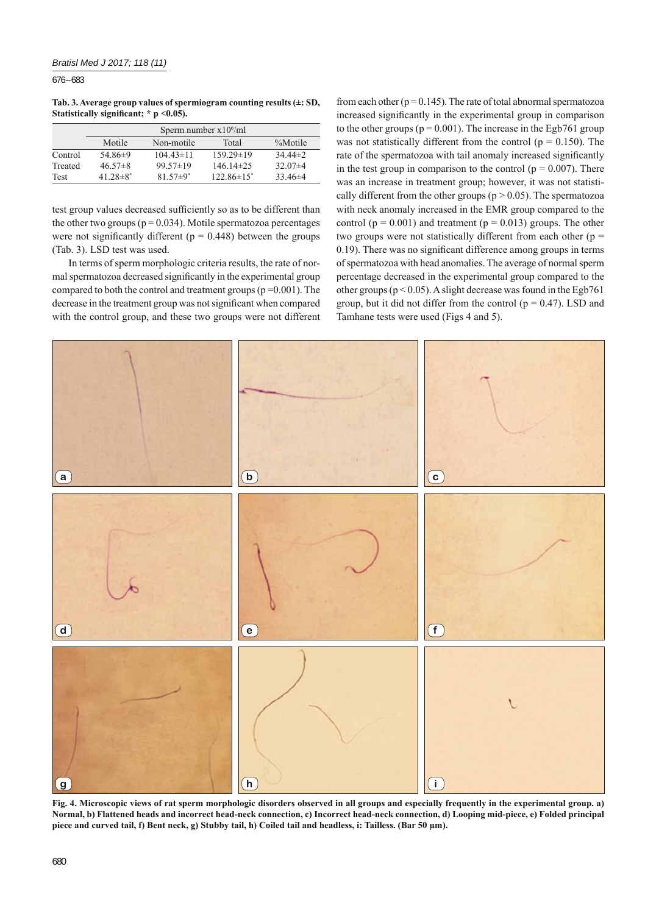676 – 683

**Tab. 3. Average group values of spermiogram counting results (±: SD,**  Statistically significant: \* p < 0.05).

|             | Sperm number $x10^6$ /ml |                 |                 |             |  |  |
|-------------|--------------------------|-----------------|-----------------|-------------|--|--|
|             | Motile                   | Non-motile      | Total           | %Motile     |  |  |
| Control     | 54.86 $\pm$ 9            | $104.43 \pm 11$ | $159.29 \pm 19$ | $34.44\pm2$ |  |  |
| Treated     | $46.57\pm8$              | $99.57 \pm 19$  | $14614\pm25$    | $32.07\pm4$ |  |  |
| <b>Test</b> | $41.28 \pm 8^*$          | $81.57 \pm 9^*$ | $122.86\pm15^*$ | $33.46\pm4$ |  |  |

test group values decreased sufficiently so as to be different than the other two groups ( $p = 0.034$ ). Motile spermatozoa percentages were not significantly different ( $p = 0.448$ ) between the groups (Tab. 3). LSD test was used.

In terms of sperm morphologic criteria results, the rate of normal spermatozoa decreased significantly in the experimental group compared to both the control and treatment groups ( $p = 0.001$ ). The decrease in the treatment group was not significant when compared with the control group, and these two groups were not different from each other ( $p = 0.145$ ). The rate of total abnormal spermatozoa increased significantly in the experimental group in comparison to the other groups ( $p = 0.001$ ). The increase in the Egb761 group was not statistically different from the control ( $p = 0.150$ ). The rate of the spermatozoa with tail anomaly increased significantly in the test group in comparison to the control ( $p = 0.007$ ). There was an increase in treatment group; however, it was not statistically different from the other groups ( $p > 0.05$ ). The spermatozoa with neck anomaly increased in the EMR group compared to the control ( $p = 0.001$ ) and treatment ( $p = 0.013$ ) groups. The other two groups were not statistically different from each other ( $p =$  $0.19$ ). There was no significant difference among groups in terms of spermatozoa with head anomalies. The average of normal sperm percentage decreased in the experimental group compared to the other groups ( $p < 0.05$ ). A slight decrease was found in the Egb761 group, but it did not differ from the control ( $p = 0.47$ ). LSD and Tamhane tests were used (Figs 4 and 5).



Fig. 4. Microscopic views of rat sperm morphologic disorders observed in all groups and especially frequently in the experimental group. a) **Normal, b) Flattened heads and incorrect head-neck connection, c) Incorrect head-neck connection, d) Looping mid-piece, e) Folded principal piece and curved tail, f) Bent neck, g) Stubby tail, h) Coiled tail and headless, i: Tailless. (Bar 50 μm).**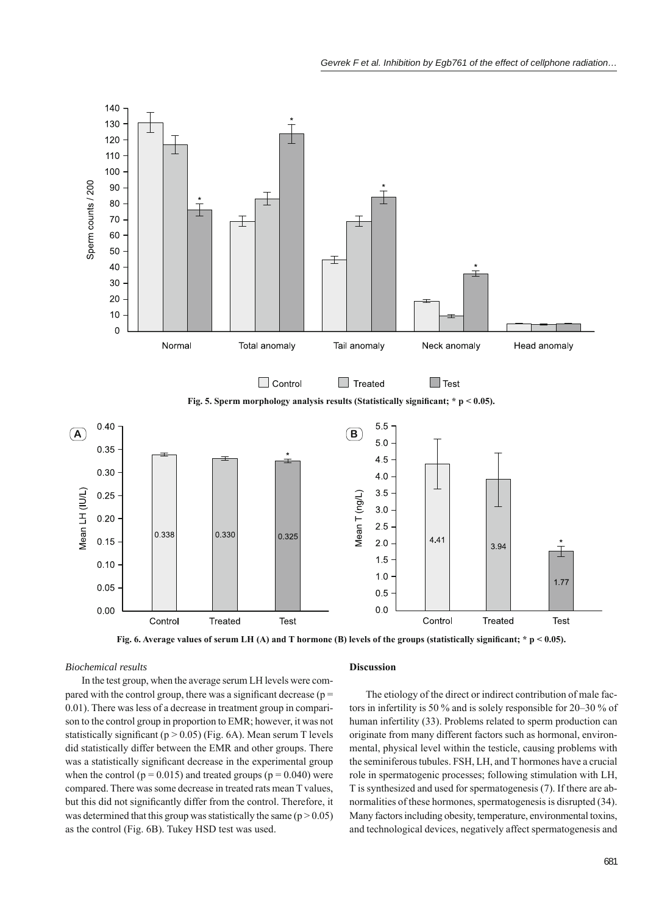

Fig. 6. Average values of serum LH (A) and T hormone (B) levels of the groups (statistically significant;  $* p < 0.05$ ).

## *Biochemical results*

In the test group, when the average serum LH levels were compared with the control group, there was a significant decrease ( $p =$ 0.01). There was less of a decrease in treatment group in comparison to the control group in proportion to EMR; however, it was not statistically significant ( $p > 0.05$ ) (Fig. 6A). Mean serum T levels did statistically differ between the EMR and other groups. There was a statistically significant decrease in the experimental group when the control ( $p = 0.015$ ) and treated groups ( $p = 0.040$ ) were compared. There was some decrease in treated rats mean T values, but this did not significantly differ from the control. Therefore, it was determined that this group was statistically the same  $(p > 0.05)$ as the control (Fig. 6B). Tukey HSD test was used.

# **Discussion**

The etiology of the direct or indirect contribution of male factors in infertility is 50 % and is solely responsible for 20–30 % of human infertility (33). Problems related to sperm production can originate from many different factors such as hormonal, environmental, physical level within the testicle, causing problems with the seminiferous tubules. FSH, LH, and T hormones have a crucial role in spermatogenic processes; following stimulation with LH, T is synthesized and used for spermatogenesis (7). If there are abnormalities of these hormones, spermatogenesis is disrupted (34). Many factors including obesity, temperature, environmental toxins, and technological devices, negatively affect spermatogenesis and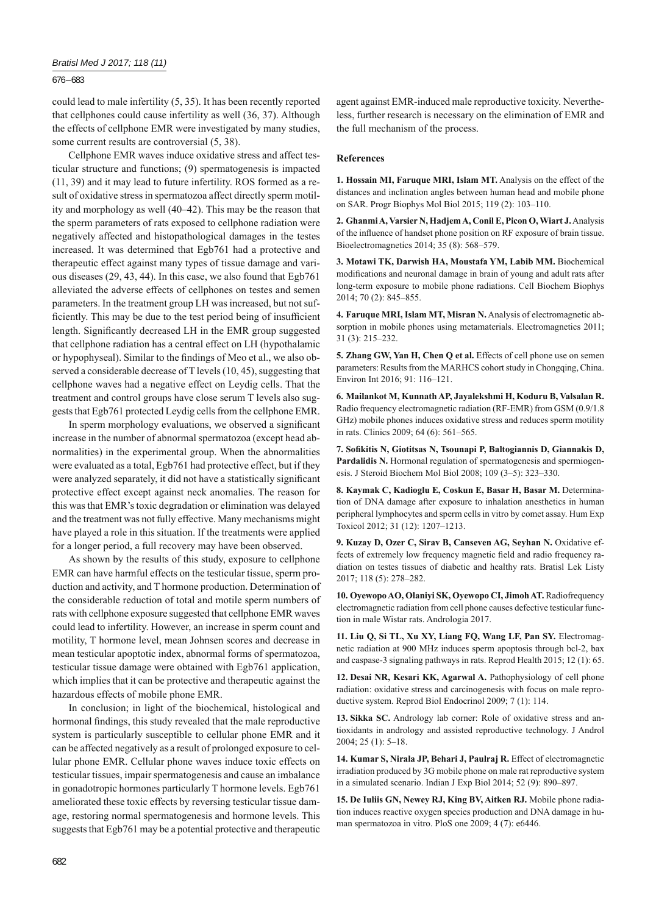# 676 – 683

could lead to male infertility (5, 35). It has been recently reported that cellphones could cause infertility as well (36, 37). Although the effects of cellphone EMR were investigated by many studies, some current results are controversial (5, 38).

Cellphone EMR waves induce oxidative stress and affect testicular structure and functions; (9) spermatogenesis is impacted (11, 39) and it may lead to future infertility. ROS formed as a result of oxidative stress in spermatozoa affect directly sperm motility and morphology as well (40–42). This may be the reason that the sperm parameters of rats exposed to cellphone radiation were negatively affected and histopathological damages in the testes increased. It was determined that Egb761 had a protective and therapeutic effect against many types of tissue damage and various diseases (29, 43, 44). In this case, we also found that Egb761 alleviated the adverse effects of cellphones on testes and semen parameters. In the treatment group LH was increased, but not sufficiently. This may be due to the test period being of insufficient length. Significantly decreased LH in the EMR group suggested that cellphone radiation has a central effect on LH (hypothalamic or hypophyseal). Similar to the findings of Meo et al., we also observed a considerable decrease of T levels (10, 45), suggesting that cellphone waves had a negative effect on Leydig cells. That the treatment and control groups have close serum T levels also suggests that Egb761 protected Leydig cells from the cellphone EMR.

In sperm morphology evaluations, we observed a significant increase in the number of abnormal spermatozoa (except head abnormalities) in the experimental group. When the abnormalities were evaluated as a total, Egb761 had protective effect, but if they were analyzed separately, it did not have a statistically significant protective effect except against neck anomalies. The reason for this was that EMR's toxic degradation or elimination was delayed and the treatment was not fully effective. Many mechanisms might have played a role in this situation. If the treatments were applied for a longer period, a full recovery may have been observed.

As shown by the results of this study, exposure to cellphone EMR can have harmful effects on the testicular tissue, sperm production and activity, and T hormone production. Determination of the considerable reduction of total and motile sperm numbers of rats with cellphone exposure suggested that cellphone EMR waves could lead to infertility. However, an increase in sperm count and motility, T hormone level, mean Johnsen scores and decrease in mean testicular apoptotic index, abnormal forms of spermatozoa, testicular tissue damage were obtained with Egb761 application, which implies that it can be protective and therapeutic against the hazardous effects of mobile phone EMR.

In conclusion; in light of the biochemical, histological and hormonal findings, this study revealed that the male reproductive system is particularly susceptible to cellular phone EMR and it can be affected negatively as a result of prolonged exposure to cellular phone EMR. Cellular phone waves induce toxic effects on testicular tissues, impair spermatogenesis and cause an imbalance in gonadotropic hormones particularly T hormone levels. Egb761 ameliorated these toxic effects by reversing testicular tissue damage, restoring normal spermatogenesis and hormone levels. This suggests that Egb761 may be a potential protective and therapeutic

agent against EMR-induced male reproductive toxicity. Nevertheless, further research is necessary on the elimination of EMR and the full mechanism of the process.

## **References**

**1. Hossain MI, Faruque MRI, Islam MT.** Analysis on the effect of the distances and inclination angles between human head and mobile phone on SAR. Progr Biophys Mol Biol 2015; 119 (2): 103–110.

**2. Ghanmi A, Varsier N, Hadjem A, Conil E, Picon O, Wiart J.** Analysis of the influence of handset phone position on RF exposure of brain tissue. Bioelectromagnetics 2014; 35 (8): 568–579.

**3. Motawi TK, Darwish HA, Moustafa YM, Labib MM.** Biochemical modifications and neuronal damage in brain of young and adult rats after long-term exposure to mobile phone radiations. Cell Biochem Biophys 2014; 70 (2): 845–855.

**4. Faruque MRI, Islam MT, Misran N.** Analysis of electromagnetic absorption in mobile phones using metamaterials. Electromagnetics 2011; 31 (3): 215–232.

**5. Zhang GW, Yan H, Chen Q et al.** Effects of cell phone use on semen parameters: Results from the MARHCS cohort study in Chongqing, China. Environ Int 2016; 91: 116–121.

**6. Mailankot M, Kunnath AP, Jayalekshmi H, Koduru B, Valsalan R.** Radio frequency electromagnetic radiation (RF-EMR) from GSM (0.9/1.8 GHz) mobile phones induces oxidative stress and reduces sperm motility in rats. Clinics 2009; 64 (6): 561–565.

**7. Sofi kitis N, Giotitsas N, Tsounapi P, Baltogiannis D, Giannakis D, Pardalidis N.** Hormonal regulation of spermatogenesis and spermiogenesis. J Steroid Biochem Mol Biol 2008; 109 (3–5): 323–330.

**8. Kaymak C, Kadioglu E, Coskun E, Basar H, Basar M.** Determination of DNA damage after exposure to inhalation anesthetics in human peripheral lymphocytes and sperm cells in vitro by comet assay. Hum Exp Toxicol 2012; 31 (12): 1207–1213.

**9. Kuzay D, Ozer C, Sirav B, Canseven AG, Seyhan N.** Oxidative effects of extremely low frequency magnetic field and radio frequency radiation on testes tissues of diabetic and healthy rats. Bratisl Lek Listy 2017; 118 (5): 278–282.

**10. Oyewopo AO, Olaniyi SK, Oyewopo CI, Jimoh AT.** Radiofrequency electromagnetic radiation from cell phone causes defective testicular function in male Wistar rats. Andrologia 2017.

**11. Liu Q, Si TL, Xu XY, Liang FQ, Wang LF, Pan SY.** Electromagnetic radiation at 900 MHz induces sperm apoptosis through bcl-2, bax and caspase-3 signaling pathways in rats. Reprod Health 2015; 12 (1): 65.

**12. Desai NR, Kesari KK, Agarwal A.** Pathophysiology of cell phone radiation: oxidative stress and carcinogenesis with focus on male reproductive system. Reprod Biol Endocrinol 2009; 7 (1): 114.

**13. Sikka SC.** Andrology lab corner: Role of oxidative stress and antioxidants in andrology and assisted reproductive technology. J Androl 2004; 25 (1): 5–18.

**14. Kumar S, Nirala JP, Behari J, Paulraj R.** Effect of electromagnetic irradiation produced by 3G mobile phone on male rat reproductive system in a simulated scenario. Indian J Exp Biol 2014; 52 (9): 890–897.

**15. De Iuliis GN, Newey RJ, King BV, Aitken RJ.** Mobile phone radiation induces reactive oxygen species production and DNA damage in human spermatozoa in vitro. PloS one 2009; 4 (7): e6446.